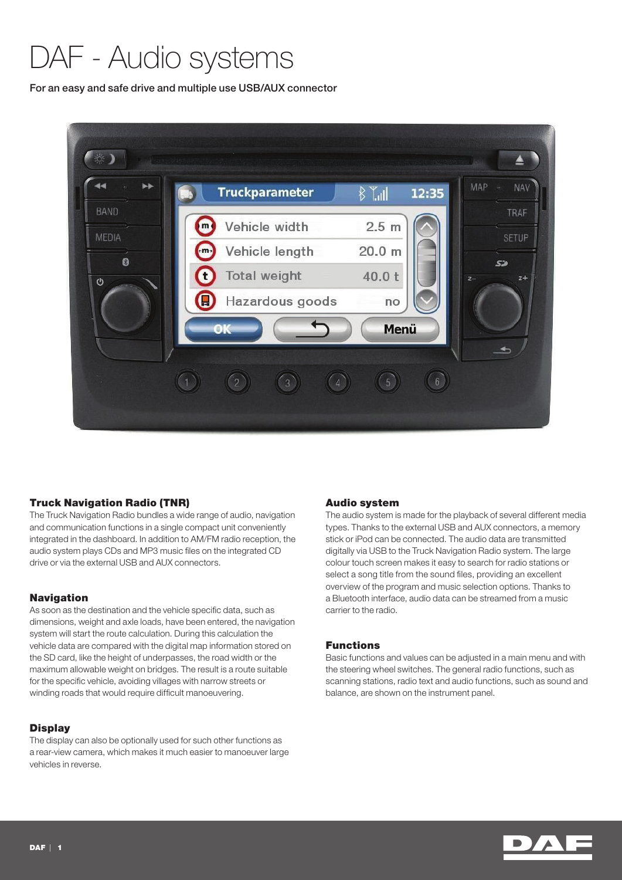# DAF - Audio systems

For an easy and safe drive and multiple use USB/AUX connector



# Truck Navigation Radio (TNR)

The Truck Navigation Radio bundles a wide range of audio, navigation and communication functions in a single compact unit conveniently integrated in the dashboard. In addition to AM/FM radio reception, the audio system plays CDs and MP3 music files on the integrated CD drive or via the external USB and AUX connectors.

# Navigation

As soon as the destination and the vehicle specific data, such as dimensions, weight and axle loads, have been entered, the navigation system will start the route calculation. During this calculation the vehicle data are compared with the digital map information stored on the SD card, like the height of underpasses, the road width or the maximum allowable weight on bridges. The result is a route suitable for the specific vehicle, avoiding villages with narrow streets or winding roads that would require difficult manoeuvering.

# **Display**

The display can also be optionally used for such other functions as a rear-view camera, which makes it much easier to manoeuver large vehicles in reverse.

## Audio system

The audio system is made for the playback of several different media types. Thanks to the external USB and AUX connectors, a memory stick or iPod can be connected. The audio data are transmitted digitally via USB to the Truck Navigation Radio system. The large colour touch screen makes it easy to search for radio stations or select a song title from the sound files, providing an excellent overview of the program and music selection options. Thanks to a Bluetooth interface, audio data can be streamed from a music carrier to the radio.

## Functions

Basic functions and values can be adjusted in a main menu and with the steering wheel switches. The general radio functions, such as scanning stations, radio text and audio functions, such as sound and balance, are shown on the instrument panel.